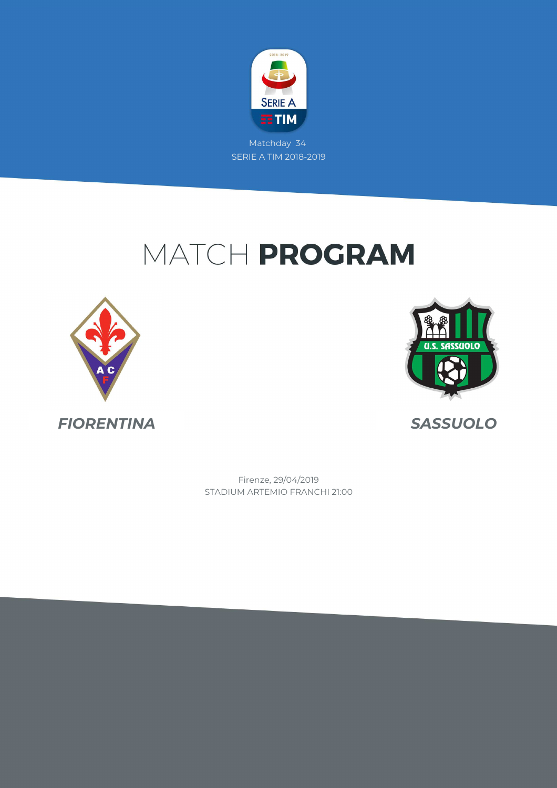

# MATCH PROGRAM





*FIORENTINA SASSUOLO*

STADIUM ARTEMIO FRANCHI 21:00 Firenze, 29/04/2019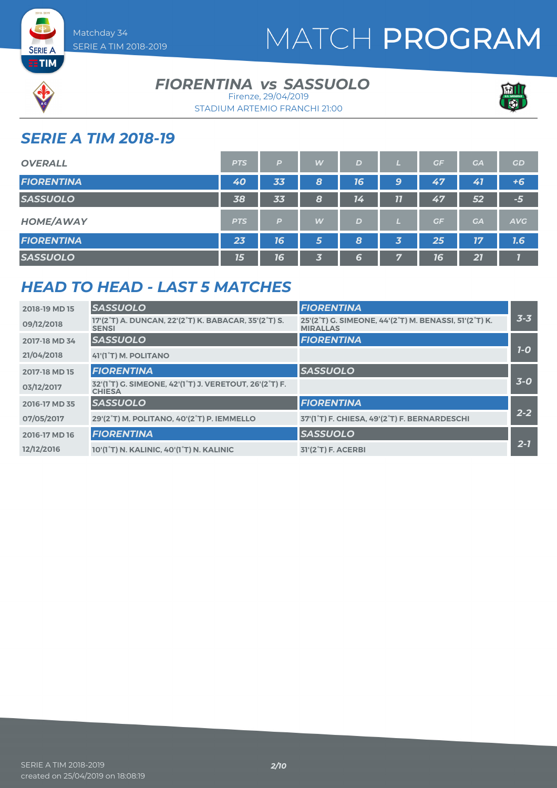



**SERIE A** 

#### **FIORENTINA vs SASSUOLO**



STADIUM ARTEMIO FRANCHI 21:00 Firenze, 29/04/2019

#### *SERIE A TIM 2018-19*

| <b>OVERALL</b>    | <b>PTS</b> | P  | W | D  |    | GF | GA        | <b>GD</b>  |
|-------------------|------------|----|---|----|----|----|-----------|------------|
| <b>FIORENTINA</b> | 40         | 33 | 8 | 16 | 9  | 47 | 41        | $+6$       |
| <b>SASSUOLO</b>   | 38         | 33 | 8 | 14 | 77 | 47 | 52        | $-5$       |
| <b>HOME/AWAY</b>  | <b>PTS</b> | P  | W | D  |    | GF | <b>GA</b> | <b>AVG</b> |
| <b>FIORENTINA</b> | 23         | 16 | 5 | 8  | 3  | 25 | 17        | 7.6        |
| <b>SASSUOLO</b>   | 15         | 16 | 3 | 6  | 57 | 16 | 21        |            |

#### *HEAD TO HEAD - LAST 5 MATCHES*

| 2018-19 MD 15 | <b>SASSUOLO</b>                                                                                                | <b>FIORENTINA</b>                                                        |         |
|---------------|----------------------------------------------------------------------------------------------------------------|--------------------------------------------------------------------------|---------|
| 09/12/2018    | 17'(2°T) A. DUNCAN, 22'(2°T) K. BABACAR, 35'(2°T) S.<br><b>SENSI</b>                                           | 25'(2°T) G. SIMEONE, 44'(2°T) M. BENASSI, 51'(2°T) K.<br><b>MIRALLAS</b> | $3 - 3$ |
| 2017-18 MD 34 | <b>SASSUOLO</b>                                                                                                | <b>FIORENTINA</b>                                                        |         |
| 21/04/2018    | 41'(1°T) M. POLITANO                                                                                           |                                                                          | $7-0$   |
| 2017-18 MD 15 | <b>FIORENTINA</b>                                                                                              | <b>SASSUOLO</b>                                                          |         |
| 03/12/2017    | 32'(1 <sup>°</sup> T) G. SIMEONE, 42'(1 <sup>°</sup> T) J. VERETOUT, 26'(2 <sup>°</sup> T) F.<br><b>CHIESA</b> |                                                                          | $3-0$   |
| 2016-17 MD 35 | <b>SASSUOLO</b>                                                                                                | <b>FIORENTINA</b>                                                        |         |
| 07/05/2017    | 29'(2°T) M. POLITANO, 40'(2°T) P. IEMMELLO                                                                     | 37'(1 <sup>°</sup> T) F. CHIESA, 49'(2 <sup>°</sup> T) F. BERNARDESCHI   | $2 - 2$ |
| 2016-17 MD 16 | <b>FIORENTINA</b>                                                                                              | <b>SASSUOLO</b>                                                          |         |
| 12/12/2016    | 10'(1°T) N. KALINIC, 40'(1°T) N. KALINIC                                                                       | 31'(2 <sup>°</sup> T) F. ACERBI                                          | $2 - 7$ |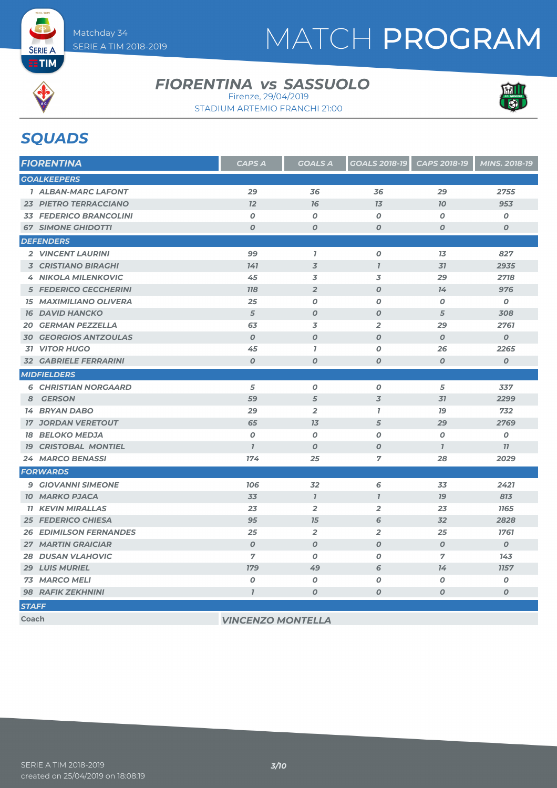

### **FIORENTINA vs SASSUOLO**



STADIUM ARTEMIO FRANCHI 21:00 Firenze, 29/04/2019

### *SQUADS*

| <b>FIORENTINA</b>             | <b>CAPS A</b>    | <b>GOALS A</b>   | <b>GOALS 2018-19</b> | CAPS 2018-19     | MINS. 2018-19    |
|-------------------------------|------------------|------------------|----------------------|------------------|------------------|
| <b>GOALKEEPERS</b>            |                  |                  |                      |                  |                  |
| <b>1 ALBAN-MARC LAFONT</b>    | 29               | 36               | 36                   | 29               | 2755             |
| <b>23 PIETRO TERRACCIANO</b>  | 12               | 76               | 13                   | 70               | 953              |
| <b>33 FEDERICO BRANCOLINI</b> | $\boldsymbol{o}$ | $\boldsymbol{0}$ | $\boldsymbol{o}$     | $\boldsymbol{O}$ | O                |
| <b>67 SIMONE GHIDOTTI</b>     | $\boldsymbol{O}$ | $\boldsymbol{O}$ | $\boldsymbol{0}$     | $\boldsymbol{O}$ | $\boldsymbol{0}$ |
| <b>DEFENDERS</b>              |                  |                  |                      |                  |                  |
| 2 VINCENT LAURINI             | 99               | $\bf{7}$         | $\boldsymbol{O}$     | 13               | 827              |
| <b>3 CRISTIANO BIRAGHI</b>    | 141              | $\overline{3}$   | $\mathbf{I}$         | 31               | 2935             |
| <b>4 NIKOLA MILENKOVIC</b>    | 45               | 3                | 3                    | 29               | 2718             |
| <b>5 FEDERICO CECCHERINI</b>  | <b>118</b>       | $\overline{2}$   | $\boldsymbol{O}$     | 14               | 976              |
| <b>15 MAXIMILIANO OLIVERA</b> | 25               | $\boldsymbol{0}$ | $\boldsymbol{O}$     | O                | $\boldsymbol{o}$ |
| <b>16 DAVID HANCKO</b>        | 5                | $\boldsymbol{O}$ | $\boldsymbol{O}$     | 5                | 308              |
| <b>20 GERMAN PEZZELLA</b>     | 63               | 3                | $\overline{2}$       | 29               | 2761             |
| <b>30 GEORGIOS ANTZOULAS</b>  | $\boldsymbol{0}$ | $\boldsymbol{0}$ | $\boldsymbol{O}$     | $\boldsymbol{O}$ | $\boldsymbol{0}$ |
| <b>31 VITOR HUGO</b>          | 45               | $\mathbf{7}$     | 0                    | 26               | 2265             |
| <b>32 GABRIELE FERRARINI</b>  | $\boldsymbol{0}$ | 0                | $\boldsymbol{O}$     | $\boldsymbol{O}$ | $\boldsymbol{o}$ |
| <b>MIDFIELDERS</b>            |                  |                  |                      |                  |                  |
| <b>6 CHRISTIAN NORGAARD</b>   | 5                | $\boldsymbol{o}$ | $\pmb{o}$            | 5                | 337              |
| 8 GERSON                      | 59               | $\overline{5}$   | $\overline{3}$       | 31               | 2299             |
| <b>14 BRYAN DABO</b>          | 29               | $\overline{2}$   | $\mathbf{7}$         | 79               | 732              |
| <b>17 JORDAN VERETOUT</b>     | 65               | 13               | 5                    | 29               | 2769             |
| <b>18 BELOKO MEDJA</b>        | $\boldsymbol{0}$ | $\boldsymbol{0}$ | 0                    | $\boldsymbol{O}$ | O                |
| <b>19 CRISTOBAL MONTIEL</b>   | $\mathbf{I}$     | $\boldsymbol{0}$ | $\boldsymbol{0}$     | $\mathbf{I}$     | 77               |
| <b>24 MARCO BENASSI</b>       | 174              | 25               | 7                    | 28               | 2029             |
| <b>FORWARDS</b>               |                  |                  |                      |                  |                  |
| <b>9 GIOVANNI SIMEONE</b>     | <b>106</b>       | 32               | 6                    | 33               | 2421             |
| <b>10 MARKO PJACA</b>         | 33               | $\mathcal{I}$    | $\mathbf{I}$         | <b>19</b>        | 813              |
| <b>11 KEVIN MIRALLAS</b>      | 23               | $\overline{2}$   | $\overline{2}$       | 23               | <b>1165</b>      |
| <b>25 FEDERICO CHIESA</b>     | 95               | 15               | 6                    | 32               | 2828             |
| <b>26 EDIMILSON FERNANDES</b> | 25               | $\overline{2}$   | $\overline{2}$       | 25               | 1761             |
| <b>27 MARTIN GRAICIAR</b>     | $\boldsymbol{0}$ | $\boldsymbol{0}$ | $\boldsymbol{O}$     | $\boldsymbol{O}$ | $\boldsymbol{0}$ |
| <b>28 DUSAN VLAHOVIC</b>      | 7                | $\boldsymbol{0}$ | $\boldsymbol{0}$     | 7                | 143              |
| <b>29 LUIS MURIEL</b>         | <b>179</b>       | 49               | 6                    | 14               | <b>1157</b>      |
| <b>73 MARCO MELI</b>          | $\boldsymbol{o}$ | $\boldsymbol{o}$ | $\pmb{o}$            | $\boldsymbol{o}$ | $\pmb{o}$        |
| <b>98 RAFIK ZEKHNINI</b>      | $\overline{I}$   | 0                | $\boldsymbol{O}$     | $\boldsymbol{O}$ | O                |
| <b>STAFF</b>                  |                  |                  |                      |                  |                  |

**Coach** *VINCENZO MONTELLA*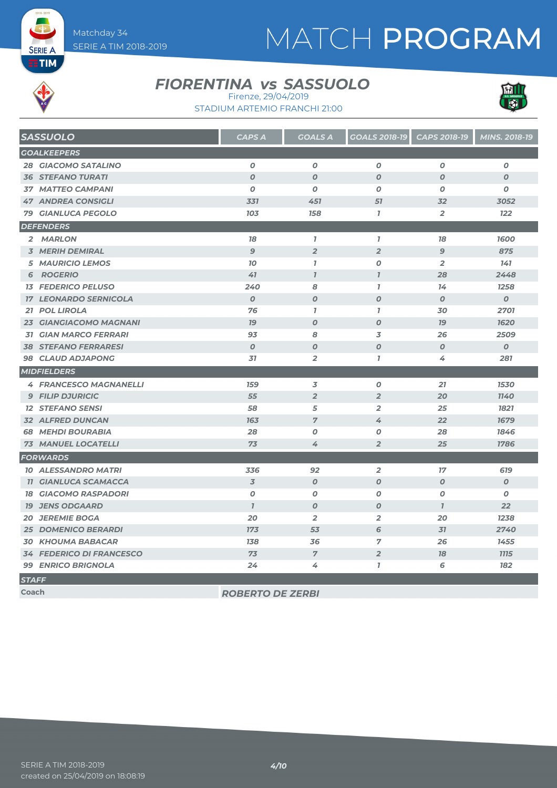# MATCH PROGRAM



**SERIE A** 

#### **FIORENTINA vs SASSUOLO**





| <b>SASSUOLO</b>                 | <b>CAPS A</b>    | <b>GOALS A</b>   | <b>GOALS 2018-19</b> | CAPS 2018-19     | MINS. 2018-19    |
|---------------------------------|------------------|------------------|----------------------|------------------|------------------|
| <b>GOALKEEPERS</b>              |                  |                  |                      |                  |                  |
| <b>28 GIACOMO SATALINO</b>      | $\boldsymbol{0}$ | $\boldsymbol{0}$ | 0                    | $\boldsymbol{0}$ | 0                |
| <b>36 STEFANO TURATI</b>        | $\boldsymbol{O}$ | $\boldsymbol{O}$ | $\boldsymbol{O}$     | $\boldsymbol{0}$ | $\boldsymbol{O}$ |
| <b>37 MATTEO CAMPANI</b>        | $\boldsymbol{0}$ | $\boldsymbol{0}$ | 0                    | $\boldsymbol{0}$ | $\boldsymbol{O}$ |
| <b>47 ANDREA CONSIGLI</b>       | 331              | 451              | 51                   | 32               | 3052             |
| <b>79 GIANLUCA PEGOLO</b>       | 103              | 158              | $\overline{I}$       | 2                | <b>122</b>       |
| <b>DEFENDERS</b>                |                  |                  |                      |                  |                  |
| 2 MARLON                        | 78               | $\mathbf{7}$     | $\mathbf{7}$         | 18               | 1600             |
| <b>3 MERIH DEMIRAL</b>          | $\overline{9}$   | $\overline{2}$   | $\overline{2}$       | $\overline{9}$   | 875              |
| <b>5 MAURICIO LEMOS</b>         | 10               | $\mathbf{7}$     | $\boldsymbol{O}$     | $\overline{2}$   | 141              |
| <b>6 ROGERIO</b>                | 41               | $\mathcal{I}$    | $\overline{1}$       | 28               | 2448             |
| <b>13 FEDERICO PELUSO</b>       | 240              | 8                | $\overline{I}$       | 14               | 1258             |
| <b>17 LEONARDO SERNICOLA</b>    | $\boldsymbol{O}$ | $\boldsymbol{O}$ | $\boldsymbol{O}$     | $\boldsymbol{O}$ | $\boldsymbol{0}$ |
| 21 POL LIROLA                   | 76               | $\mathbf{I}$     | $\mathbf{I}$         | 30               | 2701             |
| <b>23 GIANGIACOMO MAGNANI</b>   | 79               | $\boldsymbol{O}$ | $\boldsymbol{O}$     | <b>79</b>        | 1620             |
| <b>31 GIAN MARCO FERRARI</b>    | 93               | 8                | 3                    | 26               | 2509             |
| <b>38 STEFANO FERRARESI</b>     | $\boldsymbol{O}$ | $\boldsymbol{O}$ | $\boldsymbol{O}$     | $\boldsymbol{O}$ | $\boldsymbol{O}$ |
| 98 CLAUD ADJAPONG               | 31               | $\overline{2}$   | $\mathbf{I}$         | 4                | 281              |
| <b>MIDFIELDERS</b>              |                  |                  |                      |                  |                  |
| <b>4 FRANCESCO MAGNANELLI</b>   | <b>159</b>       | 3                | $\boldsymbol{o}$     | 21               | 1530             |
| <b>9 FILIP DJURICIC</b>         | 55               | $\overline{2}$   | $\overline{2}$       | 20               | 1140             |
| <b>12 STEFANO SENSI</b>         | 58               | 5                | $\overline{2}$       | 25               | 1821             |
| 32 ALFRED DUNCAN                | 163              | $\overline{7}$   | 4                    | 22               | 1679             |
| <b>68 MEHDI BOURABIA</b>        | 28               | $\boldsymbol{O}$ | $\boldsymbol{o}$     | 28               | 1846             |
| <b>73 MANUEL LOCATELLI</b>      | 73               | 4                | $\overline{2}$       | 25               | 1786             |
| <b>FORWARDS</b>                 |                  |                  |                      |                  |                  |
| <b>10 ALESSANDRO MATRI</b>      | 336              | 92               | $\overline{2}$       | 17               | 619              |
| <b>11 GIANLUCA SCAMACCA</b>     | $\overline{3}$   | $\boldsymbol{0}$ | $\boldsymbol{O}$     | $\boldsymbol{O}$ | $\boldsymbol{O}$ |
| <b>18 GIACOMO RASPADORI</b>     | $\boldsymbol{O}$ | $\boldsymbol{O}$ | 0                    | O                | 0                |
| <b>19 JENS ODGAARD</b>          | $\overline{1}$   | $\boldsymbol{O}$ | $\boldsymbol{O}$     | $\overline{1}$   | 22               |
| <b>20 JEREMIE BOGA</b>          | 20               | $\overline{2}$   | $\overline{2}$       | 20               | 1238             |
| <b>25 DOMENICO BERARDI</b>      | 173              | 53               | 6                    | 31               | 2740             |
| <b>30 KHOUMA BABACAR</b>        | 138              | 36               | $\overline{7}$       | 26               | 1455             |
| <b>34 FEDERICO DI FRANCESCO</b> | 73               | $\overline{7}$   | $\overline{2}$       | 78               | <b>7775</b>      |
| <b>99 ENRICO BRIGNOLA</b>       | 24               | 4                | $\mathbf{I}$         | 6                | 182              |
| <b>STAFF</b>                    |                  |                  |                      |                  |                  |
|                                 |                  |                  |                      |                  |                  |

**Coach** *ROBERTO DE ZERBI*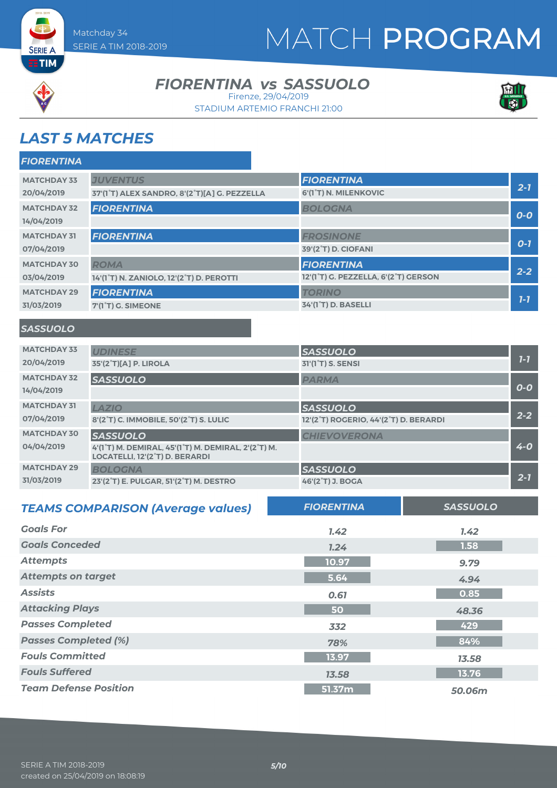



**SERIE A** 

#### **FIORENTINA vs SASSUOLO**

STADIUM ARTEMIO FRANCHI 21:00 Firenze, 29/04/2019



### *LAST 5 MATCHES*

| <b>FIORENTINA</b>  |                                              |                                                                |         |
|--------------------|----------------------------------------------|----------------------------------------------------------------|---------|
| <b>MATCHDAY 33</b> | <b>JUVENTUS</b>                              | <b>FIORENTINA</b>                                              |         |
| 20/04/2019         | 37'(1°T) ALEX SANDRO, 8'(2°T)[A] G. PEZZELLA | 6'(1°T) N. MILENKOVIC                                          | $2 - 7$ |
| <b>MATCHDAY 32</b> | <b>FIORENTINA</b>                            | <b>BOLOGNA</b>                                                 |         |
| 14/04/2019         |                                              |                                                                | $O-O$   |
| <b>MATCHDAY 31</b> | <b>FIORENTINA</b>                            | <b>FROSINONE</b>                                               |         |
| 07/04/2019         |                                              | 39'(2°T) D. CIOFANI                                            | $O-7$   |
| <b>MATCHDAY 30</b> | <b>ROMA</b>                                  | <b>FIORENTINA</b>                                              | $2 - 2$ |
| 03/04/2019         | 14'(1°T) N. ZANIOLO, 12'(2°T) D. PEROTTI     | 12'(1 <sup>°</sup> T) G. PEZZELLA, 6'(2 <sup>°</sup> T) GERSON |         |
| <b>MATCHDAY 29</b> | <b>FIORENTINA</b>                            | <b>TORINO</b>                                                  | $7 - 7$ |
| 31/03/2019         | 7'(1 <sup>°</sup> T) G. SIMEONE              | 34'(1°T) D. BASELLI                                            |         |

#### *SASSUOLO*

| <b>MATCHDAY 33</b> | <b>UDINESE</b>                                                                                                                            | <b>SASSUOLO</b>                       |         |
|--------------------|-------------------------------------------------------------------------------------------------------------------------------------------|---------------------------------------|---------|
| 20/04/2019         | 35'(2°T)[A] P. LIROLA                                                                                                                     | 31'(1 <sup>°</sup> T) S. SENSI        | $7 - 7$ |
| <b>MATCHDAY 32</b> | <b>SASSUOLO</b>                                                                                                                           | <b>PARMA</b>                          |         |
| 14/04/2019         |                                                                                                                                           |                                       | $O-O$   |
| <b>MATCHDAY 31</b> | <b>LAZIO</b>                                                                                                                              | <b>SASSUOLO</b>                       |         |
| 07/04/2019         | 8'(2°T) C. IMMOBILE, 50'(2°T) S. LULIC                                                                                                    | 12'(2°T) ROGERIO, 44'(2°T) D. BERARDI | $2 - 2$ |
| <b>MATCHDAY 30</b> | <b>SASSUOLO</b>                                                                                                                           | <b>CHIEVOVERONA</b>                   |         |
| 04/04/2019         | 4'(1 <sup>°</sup> T) M. DEMIRAL, 45'(1 <sup>°</sup> T) M. DEMIRAL, 2'(2 <sup>°</sup> T) M.<br>LOCATELLI, 12'(2 <sup>°</sup> T) D. BERARDI |                                       | $4 - 0$ |
| <b>MATCHDAY 29</b> | <b>BOLOGNA</b>                                                                                                                            | <b>SASSUOLO</b>                       |         |
| 31/03/2019         | 23'(2 <sup>°</sup> T) E. PULGAR, 51'(2 <sup>°</sup> T) M. DESTRO                                                                          | 46'(2 <sup>°</sup> T) J. BOGA         | $2 - 1$ |

| <b>TEAMS COMPARISON (Average values)</b> | <b>FIORENTINA</b> | <b>SASSUOLO</b> |
|------------------------------------------|-------------------|-----------------|
| <b>Goals For</b>                         | 1.42              | 7.42            |
| <b>Goals Conceded</b>                    | 7.24              | 1.58            |
| <b>Attempts</b>                          | 10.97             | 9.79            |
| <b>Attempts on target</b>                | 5.64              | 4.94            |
| <b>Assists</b>                           | 0.61              | 0.85            |
| <b>Attacking Plays</b>                   | 50                | 48.36           |
| <b>Passes Completed</b>                  | 332               | 429             |
| <b>Passes Completed (%)</b>              | 78%               | 84%             |
| <b>Fouls Committed</b>                   | 13.97             | 13.58           |
| <b>Fouls Suffered</b>                    | 13.58             | 13.76           |
| <b>Team Defense Position</b>             | 51.37m            | 50.06m          |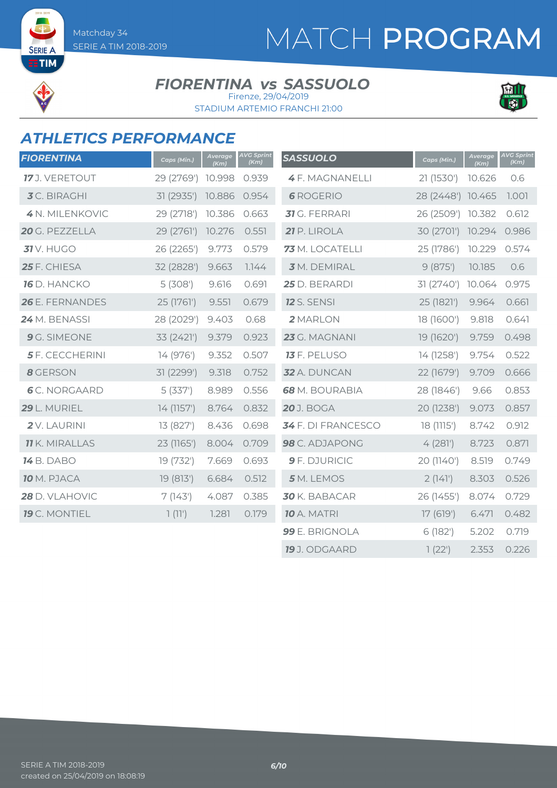## MATCH PROGRAM

**SERIE A ETIM** 

#### **FIORENTINA vs SASSUOLO** Firenze, 29/04/2019

STADIUM ARTEMIO FRANCHI 21:00



#### *ATHLETICS PERFORMANCE*

| <b>FIORENTINA</b>      | Caps (Min.) | Average<br>(Km) | <b>AVG Sprint</b><br>(Km) | <b>SASSUOLO</b>           | Caps (Min.)       | Average<br>(Km) | <b>AVG Sprint</b><br>(Km) |
|------------------------|-------------|-----------------|---------------------------|---------------------------|-------------------|-----------------|---------------------------|
| 17 J. VERETOUT         | 29 (2769')  | 10.998          | 0.939                     | <b>4F. MAGNANELLI</b>     | 21 (1530')        | 10.626          | 0.6                       |
| <b>3</b> C. BIRAGHI    | 31 (2935')  | 10.886          | 0.954                     | <b>6</b> ROGERIO          | 28 (2448') 10.465 |                 | 1.001                     |
| 4 N. MILENKOVIC        | 29 (2718')  | 10.386          | 0.663                     | 31 G. FERRARI             | 26 (2509') 10.382 |                 | 0.612                     |
| 20 G. PEZZELLA         | 29 (2761')  | 10.276          | 0.551                     | 21 P. LIROLA              | 30 (2701')        | 10.294          | 0.986                     |
| <b>31</b> V. HUGO      | 26 (2265')  | 9.773           | 0.579                     | 73 M. LOCATELLI           | 25 (1786')        | 10.229          | 0.574                     |
| 25 F. CHIESA           | 32 (2828')  | 9.663           | 7.144                     | 3 M. DEMIRAL              | 9(875)            | 10.185          | 0.6                       |
| <b>16</b> D. HANCKO    | 5(308)      | 9.616           | 0.691                     | 25 D. BERARDI             | 31 (2740')        | 10.064          | 0.975                     |
| 26 E. FERNANDES        | 25 (1761')  | 9.551           | 0.679                     | <b>12</b> S. SENSI        | 25 (1821')        | 9.964           | 0.661                     |
| 24 M. BENASSI          | 28 (2029')  | 9.403           | 0.68                      | 2 MARLON                  | 18 (1600')        | 9.818           | 0.641                     |
| 9 G. SIMEONE           | 33 (2421')  | 9.379           | 0.923                     | 23 G. MAGNANI             | 19 (1620')        | 9.759           | 0.498                     |
| <b>5</b> F. CECCHERINI | 14 (976')   | 9.352           | 0.507                     | <b>13</b> F. PELUSO       | 14 (1258')        | 9.754           | 0.522                     |
| 8 GERSON               | 31 (2299')  | 9.318           | 0.752                     | 32 A. DUNCAN              | 22 (1679')        | 9.709           | 0.666                     |
| <b>6</b> C. NORGAARD   | 5(337)      | 8.989           | 0.556                     | 68 M. BOURABIA            | 28 (1846')        | 9.66            | 0.853                     |
| 29 L. MURIEL           | 14 (1157')  | 8.764           | 0.832                     | <b>20</b> J. BOGA         | 20 (1238')        | 9.073           | 0.857                     |
| 2V. LAURINI            | 13 (827')   | 8.436           | 0.698                     | <b>34</b> F. DI FRANCESCO | 18 (1115')        | 8.742           | 0.912                     |
| <b>11</b> K. MIRALLAS  | 23 (1165')  | 8.004           | 0.709                     | 98 C. ADJAPONG            | 4(281)            | 8.723           | 0.871                     |
| <b>14</b> B. DABO      | 19 (732')   | 7.669           | 0.693                     | 9 F. DJURICIC             | 20 (1140')        | 8.519           | 0.749                     |
| <b>10</b> M. PJACA     | 19 (813')   | 6.684           | 0.512                     | 5 M. LEMOS                | 2(141)            | 8.303           | 0.526                     |
| 28 D. VLAHOVIC         | 7(143)      | 4.087           | 0.385                     | 30 K. BABACAR             | 26 (1455')        | 8.074           | 0.729                     |
| 19 C. MONTIEL          | 1(11')      | 1.281           | 0.179                     | <b>10</b> A. MATRI        | 17(619)           | 6.471           | 0.482                     |
|                        |             |                 |                           | 99 E. BRIGNOLA            | 6(182)            | 5.202           | 0.719                     |
|                        |             |                 |                           | 19 J. ODGAARD             | 1(22')            | 2.353           | 0.226                     |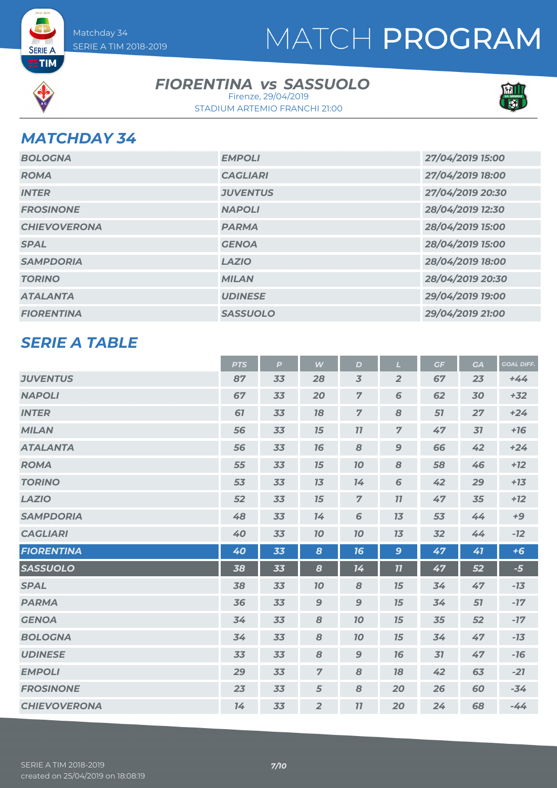

**SERIE A ETIM** 

#### **FIORENTINA vs SASSUOLO**

STADIUM ARTEMIO FRANCHI 21:00 Firenze, 29/04/2019



#### *MATCHDAY 34*

| <b>BOLOGNA</b>      | <b>EMPOLI</b>   | 27/04/2019 15:00 |
|---------------------|-----------------|------------------|
| <b>ROMA</b>         | <b>CAGLIARI</b> | 27/04/2019 18:00 |
| <b>INTER</b>        | <b>JUVENTUS</b> | 27/04/2019 20:30 |
| <b>FROSINONE</b>    | <b>NAPOLI</b>   | 28/04/2019 12:30 |
| <b>CHIEVOVERONA</b> | <b>PARMA</b>    | 28/04/2019 15:00 |
| <b>SPAL</b>         | <b>GENOA</b>    | 28/04/2019 15:00 |
| <b>SAMPDORIA</b>    | <b>LAZIO</b>    | 28/04/2019 18:00 |
| <b>TORINO</b>       | <b>MILAN</b>    | 28/04/2019 20:30 |
| <b>ATALANTA</b>     | <b>UDINESE</b>  | 29/04/2019 19:00 |
| <b>FIORENTINA</b>   | <b>SASSUOLO</b> | 29/04/2019 21:00 |

#### *SERIE A TABLE*

| <b>PTS</b> | $\mathbf{P}$ | W                | D              | $\mathbf{L}$     | GF | <b>GA</b> | <b>GOAL DIFF.</b> |
|------------|--------------|------------------|----------------|------------------|----|-----------|-------------------|
| 87         | 33           | 28               | $\overline{3}$ | $\overline{2}$   | 67 | 23        | $+44$             |
| 67         | 33           | 20               | $\overline{z}$ | 6                | 62 | 30        | $+32$             |
| 61         | 33           | 18               | $\overline{z}$ | 8                | 57 | 27        | $+24$             |
| 56         | 33           | 15               | 11             | $\overline{7}$   | 47 | 31        | $+16$             |
| 56         | 33           | 16               | 8              | $\boldsymbol{9}$ | 66 | 42        | $+24$             |
| 55         | 33           | 15               | 10             | 8                | 58 | 46        | $+12$             |
| 53         | 33           | 13               | 14             | 6                | 42 | 29        | $+13$             |
| 52         | 33           | 15               | $\overline{z}$ | 77               | 47 | 35        | $+12$             |
| 48         | 33           | 14               | 6              | 13               | 53 | 44        | $+9$              |
| 40         | 33           | 10               | 10             | 13               | 32 | 44        | $-12$             |
| 40         | 33           | $\boldsymbol{8}$ | 16             | $\mathbf{9}$     | 47 | 41        | $+6$              |
| 38         | 33           | $\boldsymbol{8}$ | 14             | 11               | 47 | 52        | $-5$              |
| 38         | 33           | 70               | 8              | 15               | 34 | 47        | $-13$             |
| 36         | 33           | $\boldsymbol{9}$ | $\mathbf{9}$   | 15               | 34 | 51        | $-17$             |
| 34         | 33           | 8                | 10             | 15               | 35 | 52        | $-17$             |
| 34         | 33           | 8                | 10             | 15               | 34 | 47        | $-13$             |
| 33         | 33           | 8                | $\mathbf{9}$   | 16               | 31 | 47        | $-16$             |
| 29         | 33           | $\overline{7}$   | 8              | 18               | 42 | 63        | $-21$             |
| 23         | 33           | 5                | 8              | 20               | 26 | 60        | $-34$             |
| 14         | 33           | $\overline{2}$   | 77             | 20               | 24 | 68        | $-44$             |
|            |              |                  |                |                  |    |           |                   |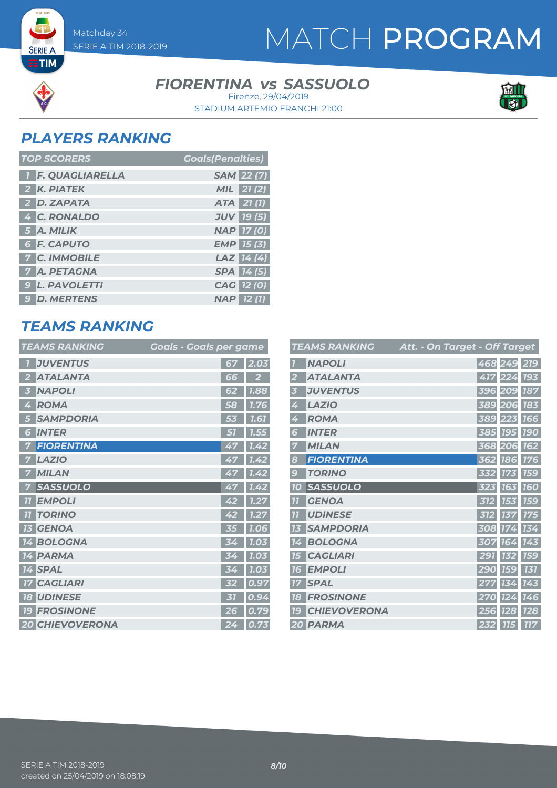### MATCH PROGRAM

#### **FIORENTINA vs SASSUOLO**

STADIUM ARTEMIO FRANCHI 21:00 Firenze, 29/04/2019



#### *PLAYERS RANKING*

**SERIE A ETIM** 

| <b>TOP SCORERS</b>       | <b>Coals(Penalties)</b> |
|--------------------------|-------------------------|
| <b>T F. QUAGLIARELLA</b> | <b>SAM 22 (7)</b>       |
| 2 K. PIATEK              | <b>MIL</b> 21 (2)       |
| 2 D. ZAPATA              | ATA 21(1)               |
| 4 C. RONALDO             | <b>JUV 19 (5)</b>       |
| 5 A. MILIK               | <b>NAP 17 (0)</b>       |
| 6 F. CAPUTO              | $EMP$ 15 (3)            |
| <b>7 C. IMMOBILE</b>     | LAZ $14(4)$             |
| <b>7 A. PETAGNA</b>      | SPA 14 (5)              |
| <b>9 L. PAVOLETTI</b>    | CAG 12 (0)              |
| <b>9 D. MERTENS</b>      | <b>NAP 12 (1)</b>       |

### *TEAMS RANKING*

| <b>TEAMS RANKING</b>          | <u> Goals - Goals per game</u> |             |
|-------------------------------|--------------------------------|-------------|
| <b>JUVENTUS</b>               | 67                             | 2.03        |
| <b>ATALANTA</b>               | 66                             |             |
| <b>NAPOLI</b><br>3            | 62                             | <b>1.88</b> |
| <b>ROMA</b><br>4              | 58                             | 1.76        |
| <b>SAMPDORIA</b><br>5         | 53                             | <b>1.61</b> |
| <b>INTER</b><br>6             | 51                             | 1.55        |
| <b>FIORENTINA</b>             |                                | 1.42        |
| <b>LAZIO</b>                  |                                | 1.42        |
| <b>MILAN</b>                  | 47                             | 1.42        |
| <b>SASSUOLO</b>               | 47                             | 1.42        |
| <b>EMPOLI</b><br>77           | 42                             | 1.27        |
| <b>TORINO</b><br>77           | 42                             | 1.27        |
| <b>GENOA</b><br>73            | 35                             | 1.06        |
| <b>BOLOGNA</b><br>14          | 34                             | 1.03        |
| <b>PARMA</b><br>14            | IS 1                           | <b>1.03</b> |
| <b>14 SPAL</b>                |                                | 0           |
| <b>CAGLIARI</b><br>17         | ドク                             | 0.97        |
| <b>UDINESE</b><br><b>18</b>   | 31                             | 0.9<br>4    |
| <b>FROSINONE</b><br><b>19</b> | 26                             | 0.79        |
| <b>20 CHIEVOVERONA</b>        | 24                             | 0.73        |

|                | <b>TEAMS RANKING</b> | Att. - On Target - Off Target |             |            |            |
|----------------|----------------------|-------------------------------|-------------|------------|------------|
|                | <b>NAPOLI</b>        |                               | 468 249 219 |            |            |
|                | <b>ATALANTA</b>      |                               | 417         | 224        | <b>193</b> |
| 3              | <b>JUVENTUS</b>      |                               | 396         | 209        | <b>187</b> |
| 4              | <b>LAZIO</b>         |                               | 389         | 206        | <b>183</b> |
| 4              | <b>ROMA</b>          |                               | 389         | 223        | <b>766</b> |
| 6              | <b>INTER</b>         |                               | 385         | <b>195</b> | <b>190</b> |
|                | <b>MILAN</b>         |                               | 368 206     |            | <b>162</b> |
| 8              | <b>FIORENTINA</b>    |                               | 362         | <b>186</b> | <b>176</b> |
| 9              | <b>TORINO</b>        |                               | 332         | <b>173</b> | <b>159</b> |
| <b>10</b>      | <b>SASSUOLO</b>      |                               | 323         | <b>163</b> | <b>160</b> |
| $\overline{1}$ | <b>GENOA</b>         |                               | 312         | 153        | <b>159</b> |
| $\overline{1}$ | <b>UDINESE</b>       |                               | 312         | 137        | <b>175</b> |
| 73             | <b>SAMPDORIA</b>     |                               | 308         | 174        | 134        |
| 14             | <b>BOLOGNA</b>       |                               | 307         | 164        | 143        |
| 15             | <b>CAGLIARI</b>      |                               | 291         |            | <b>159</b> |
| 76             | <b>EMPOLI</b>        |                               | 29<br>O     | <b>159</b> | 131        |
| 77             | <b>SPAL</b>          |                               |             | 134        | 143        |
| 18             | <b>FROSINONE</b>     |                               | 0           | 124        | 146        |
| 79             | <b>CHIEVOVERONA</b>  |                               | 256         | <b>128</b> | <b>128</b> |
|                | 20 PARMA             |                               | 232         | <b>715</b> | <b>117</b> |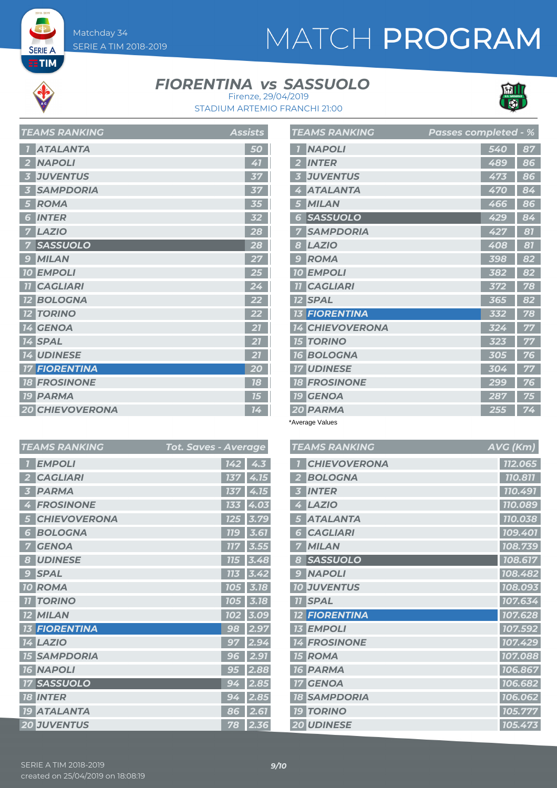**SERIE A ETIM** 

# MATCH PROGRAM

#### **FIORENTINA vs SASSUOLO**



STADIUM ARTEMIO FRANCHI 21:00 Firenze, 29/04/2019

| I LAMJ KANNINU         | Assists |
|------------------------|---------|
| <b>ATALANTA</b>        | 50      |
| <b>NAPOLI</b><br>2     | 41      |
| <b>JUVENTUS</b><br>3   | 37      |
| <b>SAMPDORIA</b>       | 37      |
| <b>ROMA</b>            | 35      |
| <b>INTER</b><br>6      | 32      |
| <b>LAZIO</b><br>7      | 28      |
| <b>SASSUOLO</b>        | 28      |
| <b>MILAN</b><br>9      | 27      |
| <b>10 EMPOLI</b>       | 25      |
| <b>TI CAGLIARI</b>     | 24      |
| <b>12 BOLOGNA</b>      | 22      |
| <b>12 TORINO</b>       | 22      |
| 14 GENOA               | 21      |
| <b>14 SPAL</b>         | 21      |
| <b>14 UDINESE</b>      | 21      |
| <b>17 FIORENTINA</b>   | 20      |
| <b>18 FROSINONE</b>    | 18      |
| <b>19 PARMA</b>        | 15      |
| <b>20 CHIEVOVERONA</b> | 14      |

*TEAMS RANKING Assists*

| <b>TEAMS RANKING</b>             | <b>Passes completed - %</b> |    |
|----------------------------------|-----------------------------|----|
| <b>NAPOLI</b>                    | 540                         | 87 |
| <b>INTER</b>                     | 489                         | 86 |
| <b>JUVENTUS</b>                  | 473                         | 86 |
| <b>ATALANTA</b>                  | 470                         | 84 |
| <b>MILAN</b>                     | 466                         | 86 |
| <b>SASSUOLO</b><br>Б             | 429                         | 84 |
| <b>SAMPDORIA</b>                 | 427                         | 81 |
| <b>LAZIO</b><br>8                | 408                         | 81 |
| <b>ROMA</b><br>$\epsilon$        | 398                         | 82 |
| <b>EMPOLI</b><br>70              | 382                         | 82 |
| <b>CAGLIARI</b>                  | 372                         | 78 |
| <b>SPAL</b><br>$12 \overline{ }$ | 365                         | 82 |
| <b>FIORENTINA</b>                | 332                         | 78 |
| <b>CHIEVOVERONA</b>              | 324                         | 77 |
| <b>TORINO</b><br>75              | 323                         | 77 |
| <b>BOLOGNA</b><br>76             | 305                         | 76 |
| <b>UDINESE</b>                   | 304                         | 77 |
| <b>FROSINONE</b><br>18           | 299                         | 76 |
| <b>GENOA</b><br><b>19</b>        | 287                         | 75 |
| 20 PARMA                         | 255                         | 74 |

\*Average Values

| <b>TEAMS RANKING</b> | AVG (Km) |
|----------------------|----------|
| <b>CHIEVOVERONA</b>  | 112.065  |
| <b>BOLOGNA</b>       | 110.811  |
| <b>INTER</b>         | 110.491  |
| <b>LAZIO</b><br>4    | 110.089  |
| <b>ATALANTA</b>      | 110.038  |
| <b>CAGLIARI</b><br>5 | 109.401  |
| <b>MILAN</b>         | 108.739  |
| <b>SASSUOLO</b><br>8 | 108.617  |
| <b>NAPOLI</b><br>9   | 108.482  |
| <b>10 JUVENTUS</b>   | 108.093  |
| <b>SPAL</b><br>11    | 107.634  |
| <b>FIORENTINA</b>    | 107.628  |
| <b>EMPOLI</b><br>13  | 107.592  |
| <b>14 FROSINONE</b>  | 107.429  |
| <b>15 ROMA</b>       | 107.088  |
| <b>PARMA</b><br>16   | 106.867  |
| <b>GENOA</b><br>17   | 106.682  |
| <b>18 SAMPDORIA</b>  | 106.062  |
| <b>19 TORINO</b>     | 105.777  |
| <b>20 UDINESE</b>    | 105.473  |

| <b>TEAMS RANKING</b>            | Tot. Saves - Average |                           |
|---------------------------------|----------------------|---------------------------|
| <b>EMPOLI</b>                   | 142                  | 4.3                       |
| <b>CAGLIARI</b>                 | 137                  | 4.15                      |
| <b>PARMA</b>                    | 137                  | 4.15                      |
| <b>FROSINONE</b>                | 133                  | 4.03                      |
| <b>CHIEVOVERONA</b>             | 125                  | $\overline{3.7}$<br>9     |
| <b>BOLOGNA</b><br>6             | <b>779</b>           | 3.61                      |
| <b>GENOA</b>                    | 77                   | 3.                        |
| <b>UDINESE</b><br>$\frac{1}{2}$ | 775                  | 3.4                       |
| <b>SPAL</b><br>$\bullet$        | 173                  | 3.                        |
| <b>ROMA</b><br>O                | 10<br>15             | 3.18                      |
| <b>TORINO</b>                   | 10<br>15             | 3.18                      |
| <b>MILAN</b>                    | 10                   | 9<br>3.<br>$\overline{0}$ |
| <b>FIORENTINA</b>               | 98                   | 2.9                       |
| <b>LAZIO</b><br>4               | 97                   | 2.9                       |
| <b>SAMPDORIA</b><br>15          | 96                   | 2.91                      |
| <b>16 NAPOLI</b>                | 95                   | 2.88                      |
| <b>SASSUOLO</b>                 | 9.                   | 2.85                      |
| <b>INTER</b><br>18              | 94                   | 2.85                      |
| <b>ATALANTA</b><br>79           | 86                   | 2.61                      |
| <b>20 JUVENTUS</b>              | 78                   | 2.36                      |